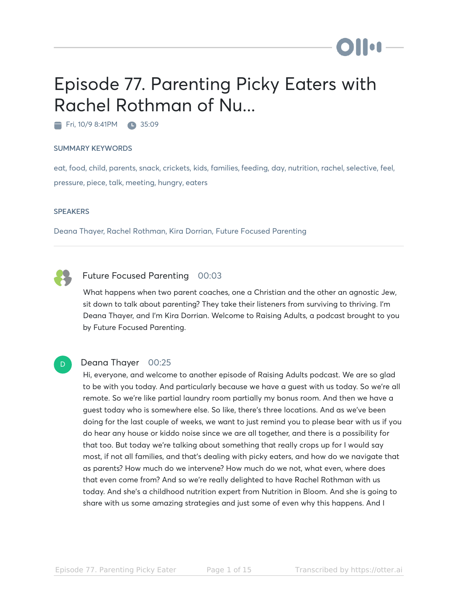# Episode 77. Parenting Picky Eaters with Rachel Rothman of Nu...

Fri, 10/9 8:41PM 35:09

#### SUMMARY KEYWORDS

eat, food, child, parents, snack, crickets, kids, families, feeding, day, nutrition, rachel, selective, feel, pressure, piece, talk, meeting, hungry, eaters

#### **SPEAKERS**

Deana Thayer, Rachel Rothman, Kira Dorrian, Future Focused Parenting



#### Future Focused Parenting 00:03

What happens when two parent coaches, one a Christian and the other an agnostic Jew, sit down to talk about parenting? They take their listeners from surviving to thriving. I'm Deana Thayer, and I'm Kira Dorrian. Welcome to Raising Adults, a podcast brought to you by Future Focused Parenting.



#### Deana Thayer 00:25

Hi, everyone, and welcome to another episode of Raising Adults podcast. We are so glad to be with you today. And particularly because we have a guest with us today. So we're all remote. So we're like partial laundry room partially my bonus room. And then we have a guest today who is somewhere else. So like, there's three locations. And as we've been doing for the last couple of weeks, we want to just remind you to please bear with us if you do hear any house or kiddo noise since we are all together, and there is a possibility for that too. But today we're talking about something that really crops up for I would say most, if not all families, and that's dealing with picky eaters, and how do we navigate that as parents? How much do we intervene? How much do we not, what even, where does that even come from? And so we're really delighted to have Rachel Rothman with us today. And she's a childhood nutrition expert from Nutrition in Bloom. And she is going to share with us some amazing strategies and just some of even why this happens. And I

**Dillet**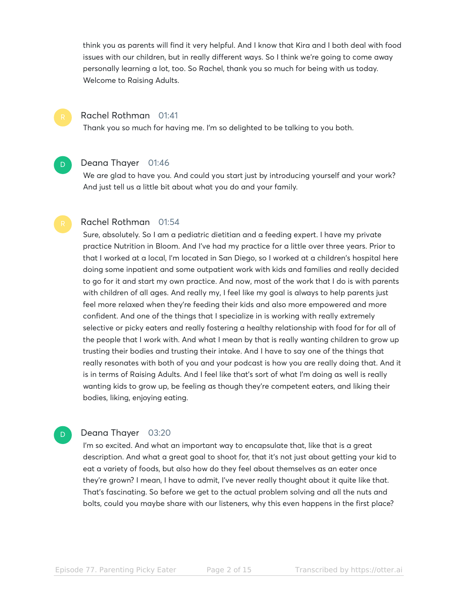think you as parents will find it very helpful. And I know that Kira and I both deal with food issues with our children, but in really different ways. So I think we're going to come away personally learning a lot, too. So Rachel, thank you so much for being with us today. Welcome to Raising Adults.

### Rachel Rothman 01:41

Thank you so much for having me. I'm so delighted to be talking to you both.

## D

D.

#### Deana Thayer 01:46

We are glad to have you. And could you start just by introducing yourself and your work? And just tell us a little bit about what you do and your family.

#### Rachel Rothman 01:54

Sure, absolutely. So I am a pediatric dietitian and a feeding expert. I have my private practice Nutrition in Bloom. And I've had my practice for a little over three years. Prior to that I worked at a local, I'm located in San Diego, so I worked at a children's hospital here doing some inpatient and some outpatient work with kids and families and really decided to go for it and start my own practice. And now, most of the work that I do is with parents with children of all ages. And really my, I feel like my goal is always to help parents just feel more relaxed when they're feeding their kids and also more empowered and more confident. And one of the things that I specialize in is working with really extremely selective or picky eaters and really fostering a healthy relationship with food for for all of the people that I work with. And what I mean by that is really wanting children to grow up trusting their bodies and trusting their intake. And I have to say one of the things that really resonates with both of you and your podcast is how you are really doing that. And it is in terms of Raising Adults. And I feel like that's sort of what I'm doing as well is really wanting kids to grow up, be feeling as though they're competent eaters, and liking their bodies, liking, enjoying eating.

#### Deana Thayer 03:20

I'm so excited. And what an important way to encapsulate that, like that is a great description. And what a great goal to shoot for, that it's not just about getting your kid to eat a variety of foods, but also how do they feel about themselves as an eater once they're grown? I mean, I have to admit, I've never really thought about it quite like that. That's fascinating. So before we get to the actual problem solving and all the nuts and bolts, could you maybe share with our listeners, why this even happens in the first place?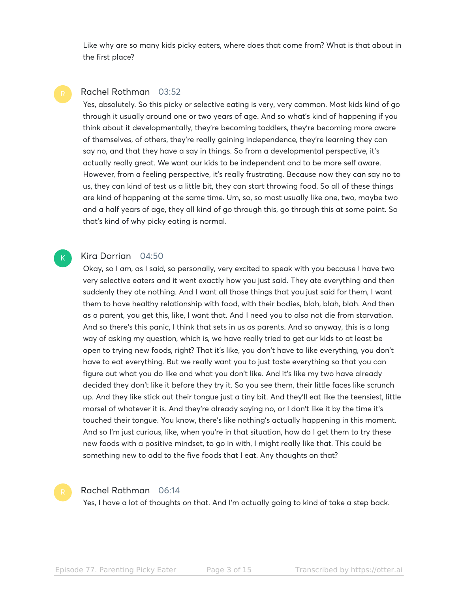Like why are so many kids picky eaters, where does that come from? What is that about in the first place?

#### Rachel Rothman 03:52

Yes, absolutely. So this picky or selective eating is very, very common. Most kids kind of go through it usually around one or two years of age. And so what's kind of happening if you think about it developmentally, they're becoming toddlers, they're becoming more aware of themselves, of others, they're really gaining independence, they're learning they can say no, and that they have a say in things. So from a developmental perspective, it's actually really great. We want our kids to be independent and to be more self aware. However, from a feeling perspective, it's really frustrating. Because now they can say no to us, they can kind of test us a little bit, they can start throwing food. So all of these things are kind of happening at the same time. Um, so, so most usually like one, two, maybe two and a half years of age, they all kind of go through this, go through this at some point. So that's kind of why picky eating is normal.

#### Kira Dorrian 04:50

Okay, so I am, as I said, so personally, very excited to speak with you because I have two very selective eaters and it went exactly how you just said. They ate everything and then suddenly they ate nothing. And I want all those things that you just said for them, I want them to have healthy relationship with food, with their bodies, blah, blah, blah. And then as a parent, you get this, like, I want that. And I need you to also not die from starvation. And so there's this panic, I think that sets in us as parents. And so anyway, this is a long way of asking my question, which is, we have really tried to get our kids to at least be open to trying new foods, right? That it's like, you don't have to like everything, you don't have to eat everything. But we really want you to just taste everything so that you can figure out what you do like and what you don't like. And it's like my two have already decided they don't like it before they try it. So you see them, their little faces like scrunch up. And they like stick out their tongue just a tiny bit. And they'll eat like the teensiest, little morsel of whatever it is. And they're already saying no, or I don't like it by the time it's touched their tongue. You know, there's like nothing's actually happening in this moment. And so I'm just curious, like, when you're in that situation, how do I get them to try these new foods with a positive mindset, to go in with, I might really like that. This could be something new to add to the five foods that I eat. Any thoughts on that?

K

#### Rachel Rothman 06:14

Yes, I have a lot of thoughts on that. And I'm actually going to kind of take a step back.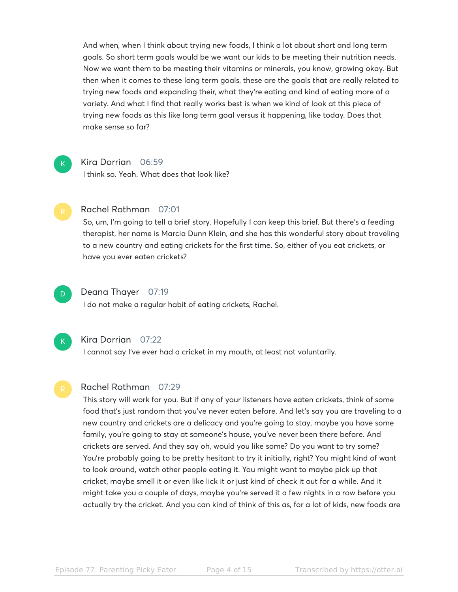And when, when I think about trying new foods, I think a lot about short and long term goals. So short term goals would be we want our kids to be meeting their nutrition needs. Now we want them to be meeting their vitamins or minerals, you know, growing okay. But then when it comes to these long term goals, these are the goals that are really related to trying new foods and expanding their, what they're eating and kind of eating more of a variety. And what I find that really works best is when we kind of look at this piece of trying new foods as this like long term goal versus it happening, like today. Does that make sense so far?



#### Kira Dorrian 06:59

I think so. Yeah. What does that look like?



#### Rachel Rothman 07:01

So, um, I'm going to tell a brief story. Hopefully I can keep this brief. But there's a feeding therapist, her name is Marcia Dunn Klein, and she has this wonderful story about traveling to a new country and eating crickets for the first time. So, either of you eat crickets, or have you ever eaten crickets?



#### Deana Thayer 07:19

I do not make a regular habit of eating crickets, Rachel.



#### Kira Dorrian 07:22

I cannot say I've ever had a cricket in my mouth, at least not voluntarily.

#### Rachel Rothman 07:29

This story will work for you. But if any of your listeners have eaten crickets, think of some food that's just random that you've never eaten before. And let's say you are traveling to a new country and crickets are a delicacy and you're going to stay, maybe you have some family, you're going to stay at someone's house, you've never been there before. And crickets are served. And they say oh, would you like some? Do you want to try some? You're probably going to be pretty hesitant to try it initially, right? You might kind of want to look around, watch other people eating it. You might want to maybe pick up that cricket, maybe smell it or even like lick it or just kind of check it out for a while. And it might take you a couple of days, maybe you're served it a few nights in a row before you actually try the cricket. And you can kind of think of this as, for a lot of kids, new foods are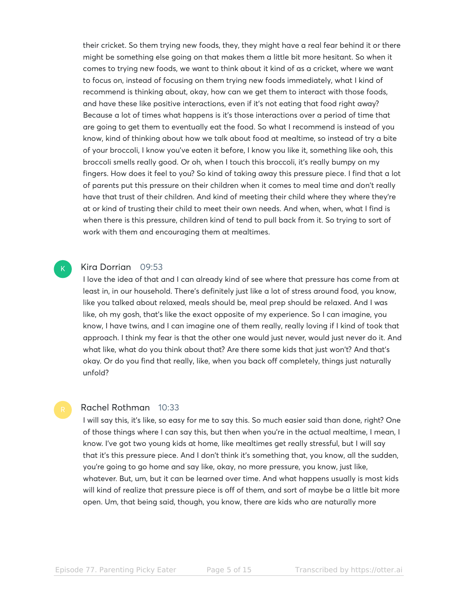their cricket. So them trying new foods, they, they might have a real fear behind it or there might be something else going on that makes them a little bit more hesitant. So when it comes to trying new foods, we want to think about it kind of as a cricket, where we want to focus on, instead of focusing on them trying new foods immediately, what I kind of recommend is thinking about, okay, how can we get them to interact with those foods, and have these like positive interactions, even if it's not eating that food right away? Because a lot of times what happens is it's those interactions over a period of time that are going to get them to eventually eat the food. So what I recommend is instead of you know, kind of thinking about how we talk about food at mealtime, so instead of try a bite of your broccoli, I know you've eaten it before, I know you like it, something like ooh, this broccoli smells really good. Or oh, when I touch this broccoli, it's really bumpy on my fingers. How does it feel to you? So kind of taking away this pressure piece. I find that a lot of parents put this pressure on their children when it comes to meal time and don't really have that trust of their children. And kind of meeting their child where they where they're at or kind of trusting their child to meet their own needs. And when, when, what I find is when there is this pressure, children kind of tend to pull back from it. So trying to sort of work with them and encouraging them at mealtimes.

#### Kira Dorrian 09:53

 $\mathsf{K}_{\scriptscriptstyle{+}}$ 

I love the idea of that and I can already kind of see where that pressure has come from at least in, in our household. There's definitely just like a lot of stress around food, you know, like you talked about relaxed, meals should be, meal prep should be relaxed. And I was like, oh my gosh, that's like the exact opposite of my experience. So I can imagine, you know, I have twins, and I can imagine one of them really, really loving if I kind of took that approach. I think my fear is that the other one would just never, would just never do it. And what like, what do you think about that? Are there some kids that just won't? And that's okay. Or do you find that really, like, when you back off completely, things just naturally unfold?

#### Rachel Rothman 10:33

I will say this, it's like, so easy for me to say this. So much easier said than done, right? One of those things where I can say this, but then when you're in the actual mealtime, I mean, I know. I've got two young kids at home, like mealtimes get really stressful, but I will say that it's this pressure piece. And I don't think it's something that, you know, all the sudden, you're going to go home and say like, okay, no more pressure, you know, just like, whatever. But, um, but it can be learned over time. And what happens usually is most kids will kind of realize that pressure piece is off of them, and sort of maybe be a little bit more open. Um, that being said, though, you know, there are kids who are naturally more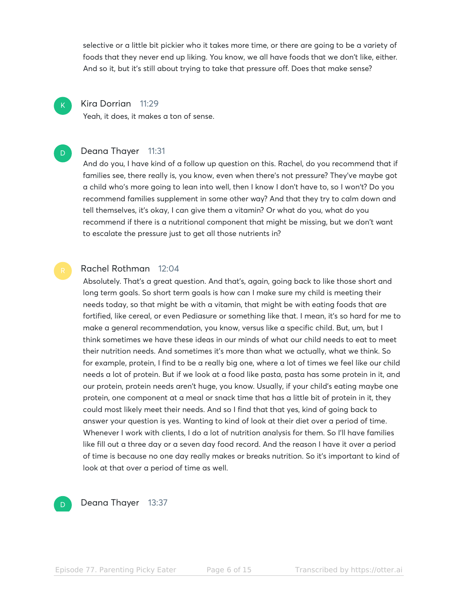selective or a little bit pickier who it takes more time, or there are going to be a variety of foods that they never end up liking. You know, we all have foods that we don't like, either. And so it, but it's still about trying to take that pressure off. Does that make sense?

#### Kira Dorrian 11:29

 $\mathsf{K}_{\scriptscriptstyle{+}}$ 

D

Yeah, it does, it makes a ton of sense.

#### Deana Thayer 11:31

And do you, I have kind of a follow up question on this. Rachel, do you recommend that if families see, there really is, you know, even when there's not pressure? They've maybe got a child who's more going to lean into well, then I know I don't have to, so I won't? Do you recommend families supplement in some other way? And that they try to calm down and tell themselves, it's okay, I can give them a vitamin? Or what do you, what do you recommend if there is a nutritional component that might be missing, but we don't want to escalate the pressure just to get all those nutrients in?

#### Rachel Rothman 12:04

Absolutely. That's a great question. And that's, again, going back to like those short and long term goals. So short term goals is how can I make sure my child is meeting their needs today, so that might be with a vitamin, that might be with eating foods that are fortified, like cereal, or even Pediasure or something like that. I mean, it's so hard for me to make a general recommendation, you know, versus like a specific child. But, um, but I think sometimes we have these ideas in our minds of what our child needs to eat to meet their nutrition needs. And sometimes it's more than what we actually, what we think. So for example, protein, I find to be a really big one, where a lot of times we feel like our child needs a lot of protein. But if we look at a food like pasta, pasta has some protein in it, and our protein, protein needs aren't huge, you know. Usually, if your child's eating maybe one protein, one component at a meal or snack time that has a little bit of protein in it, they could most likely meet their needs. And so I find that that yes, kind of going back to answer your question is yes. Wanting to kind of look at their diet over a period of time. Whenever I work with clients, I do a lot of nutrition analysis for them. So I'll have families like fill out a three day or a seven day food record. And the reason I have it over a period of time is because no one day really makes or breaks nutrition. So it's important to kind of look at that over a period of time as well.



Deana Thayer 13:37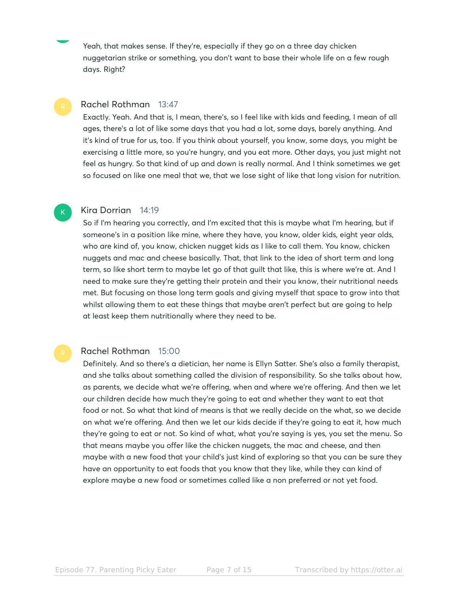Yeah, that makes sense. If they're, especially if they go on a three day chicken nuggetarian strike or something, you don't want to base their whole life on a few rough days. Right?

#### Rachel Rothman 13:47

Exactly. Yeah. And that is, I mean, there's, so I feel like with kids and feeding, I mean of all ages, there's a lot of like some days that you had a lot, some days, barely anything. And it's kind of true for us, too. If you think about yourself, you know, some days, you might be exercising a little more, so you're hungry, and you eat more. Other days, you just might not feel as hungry. So that kind of up and down is really normal. And I think sometimes we get so focused on like one meal that we, that we lose sight of like that long vision for nutrition.

#### Kira Dorrian 14:19

K

So if I'm hearing you correctly, and I'm excited that this is maybe what I'm hearing, but if someone's in a position like mine, where they have, you know, older kids, eight year olds, who are kind of, you know, chicken nugget kids as I like to call them. You know, chicken nuggets and mac and cheese basically. That, that link to the idea of short term and long term, so like short term to maybe let go of that guilt that like, this is where we're at. And I need to make sure they're getting their protein and their you know, their nutritional needs met. But focusing on those long term goals and giving myself that space to grow into that whilst allowing them to eat these things that maybe aren't perfect but are going to help at least keep them nutritionally where they need to be.

#### Rachel Rothman 15:00

Definitely. And so there's a dietician, her name is Ellyn Satter. She's also a family therapist, and she talks about something called the division of responsibility. So she talks about how, as parents, we decide what we're offering, when and where we're offering. And then we let our children decide how much they're going to eat and whether they want to eat that food or not. So what that kind of means is that we really decide on the what, so we decide on what we're offering. And then we let our kids decide if they're going to eat it, how much they're going to eat or not. So kind of what, what you're saying is yes, you set the menu. So that means maybe you offer like the chicken nuggets, the mac and cheese, and then maybe with a new food that your child's just kind of exploring so that you can be sure they have an opportunity to eat foods that you know that they like, while they can kind of explore maybe a new food or sometimes called like a non preferred or not yet food.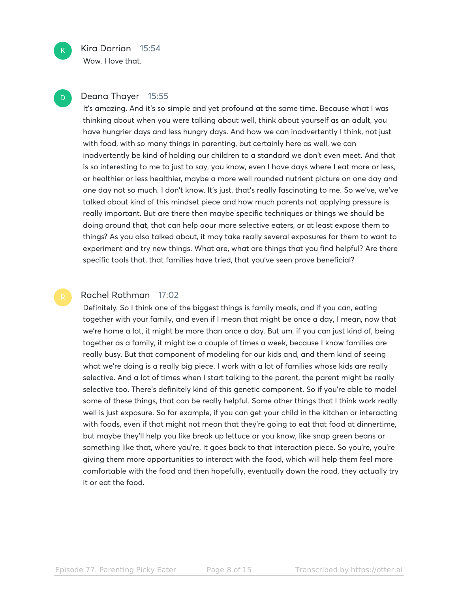Wow. I love that.

#### Deana Thayer 15:55

It's amazing. And it's so simple and yet profound at the same time. Because what I was thinking about when you were talking about well, think about yourself as an adult, you have hungrier days and less hungry days. And how we can inadvertently I think, not just with food, with so many things in parenting, but certainly here as well, we can inadvertently be kind of holding our children to a standard we don't even meet. And that is so interesting to me to just to say, you know, even I have days where I eat more or less, or healthier or less healthier, maybe a more well rounded nutrient picture on one day and one day not so much. I don't know. It's just, that's really fascinating to me. So we've, we've talked about kind of this mindset piece and how much parents not applying pressure is really important. But are there then maybe specific techniques or things we should be doing around that, that can help aour more selective eaters, or at least expose them to things? As you also talked about, it may take really several exposures for them to want to experiment and try new things. What are, what are things that you find helpful? Are there specific tools that, that families have tried, that you've seen prove beneficial?

#### Rachel Rothman 17:02

Definitely. So I think one of the biggest things is family meals, and if you can, eating together with your family, and even if I mean that might be once a day, I mean, now that we're home a lot, it might be more than once a day. But um, if you can just kind of, being together as a family, it might be a couple of times a week, because I know families are really busy. But that component of modeling for our kids and, and them kind of seeing what we're doing is a really big piece. I work with a lot of families whose kids are really selective. And a lot of times when I start talking to the parent, the parent might be really selective too. There's definitely kind of this genetic component. So if you're able to model some of these things, that can be really helpful. Some other things that I think work really well is just exposure. So for example, if you can get your child in the kitchen or interacting with foods, even if that might not mean that they're going to eat that food at dinnertime, but maybe they'll help you like break up lettuce or you know, like snap green beans or something like that, where you're, it goes back to that interaction piece. So you're, you're giving them more opportunities to interact with the food, which will help them feel more comfortable with the food and then hopefully, eventually down the road, they actually try it or eat the food.

 $K$ 

D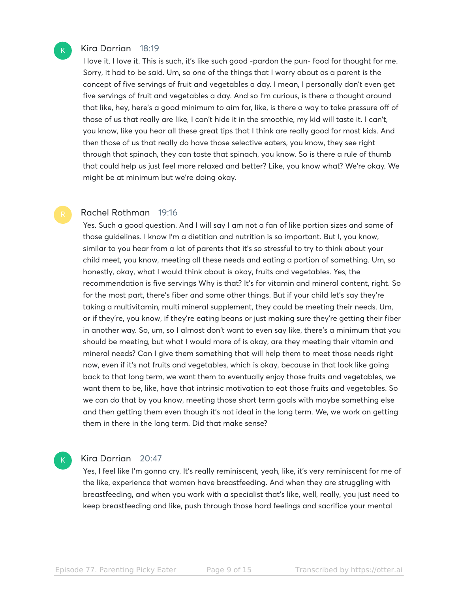#### Kira Dorrian 18:19

 $\mathsf{K}_{\scriptscriptstyle{+}}$ 

I love it. I love it. This is such, it's like such good -pardon the pun- food for thought for me. Sorry, it had to be said. Um, so one of the things that I worry about as a parent is the concept of five servings of fruit and vegetables a day. I mean, I personally don't even get five servings of fruit and vegetables a day. And so I'm curious, is there a thought around that like, hey, here's a good minimum to aim for, like, is there a way to take pressure off of those of us that really are like, I can't hide it in the smoothie, my kid will taste it. I can't, you know, like you hear all these great tips that I think are really good for most kids. And then those of us that really do have those selective eaters, you know, they see right through that spinach, they can taste that spinach, you know. So is there a rule of thumb that could help us just feel more relaxed and better? Like, you know what? We're okay. We might be at minimum but we're doing okay.

#### Rachel Rothman 19:16

Yes. Such a good question. And I will say I am not a fan of like portion sizes and some of those guidelines. I know I'm a dietitian and nutrition is so important. But I, you know, similar to you hear from a lot of parents that it's so stressful to try to think about your child meet, you know, meeting all these needs and eating a portion of something. Um, so honestly, okay, what I would think about is okay, fruits and vegetables. Yes, the recommendation is five servings Why is that? It's for vitamin and mineral content, right. So for the most part, there's fiber and some other things. But if your child let's say they're taking a multivitamin, multi mineral supplement, they could be meeting their needs. Um, or if they're, you know, if they're eating beans or just making sure they're getting their fiber in another way. So, um, so I almost don't want to even say like, there's a minimum that you should be meeting, but what I would more of is okay, are they meeting their vitamin and mineral needs? Can I give them something that will help them to meet those needs right now, even if it's not fruits and vegetables, which is okay, because in that look like going back to that long term, we want them to eventually enjoy those fruits and vegetables, we want them to be, like, have that intrinsic motivation to eat those fruits and vegetables. So we can do that by you know, meeting those short term goals with maybe something else and then getting them even though it's not ideal in the long term. We, we work on getting them in there in the long term. Did that make sense?

#### Kira Dorrian 20:47

 $\mathsf{K}_{\scriptscriptstyle{+}}$ 

Yes, I feel like I'm gonna cry. It's really reminiscent, yeah, like, it's very reminiscent for me of the like, experience that women have breastfeeding. And when they are struggling with breastfeeding, and when you work with a specialist that's like, well, really, you just need to keep breastfeeding and like, push through those hard feelings and sacrifice your mental

Episode 77. Parenting Picky Eater Page 9 of 15 Transcribed by https://otter.ai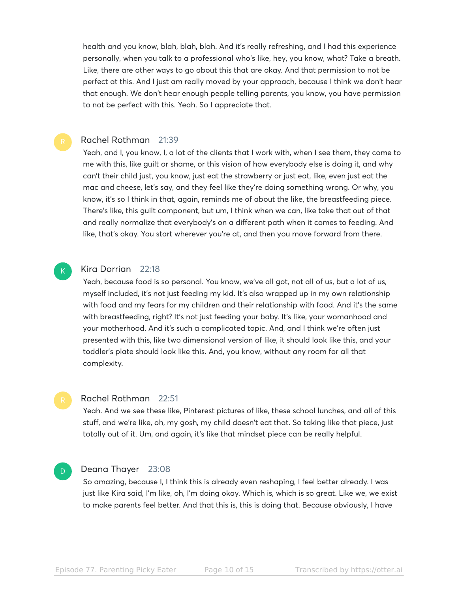health and you know, blah, blah, blah. And it's really refreshing, and I had this experience personally, when you talk to a professional who's like, hey, you know, what? Take a breath. Like, there are other ways to go about this that are okay. And that permission to not be perfect at this. And I just am really moved by your approach, because I think we don't hear that enough. We don't hear enough people telling parents, you know, you have permission to not be perfect with this. Yeah. So I appreciate that.

#### Rachel Rothman 21:39

Yeah, and I, you know, I, a lot of the clients that I work with, when I see them, they come to me with this, like guilt or shame, or this vision of how everybody else is doing it, and why can't their child just, you know, just eat the strawberry or just eat, like, even just eat the mac and cheese, let's say, and they feel like they're doing something wrong. Or why, you know, it's so I think in that, again, reminds me of about the like, the breastfeeding piece. There's like, this guilt component, but um, I think when we can, like take that out of that and really normalize that everybody's on a different path when it comes to feeding. And like, that's okay. You start wherever you're at, and then you move forward from there.

# $\mathsf{K}_{\scriptscriptstyle{+}}$

D

#### Kira Dorrian 22:18

Yeah, because food is so personal. You know, we've all got, not all of us, but a lot of us, myself included, it's not just feeding my kid. It's also wrapped up in my own relationship with food and my fears for my children and their relationship with food. And it's the same with breastfeeding, right? It's not just feeding your baby. It's like, your womanhood and your motherhood. And it's such a complicated topic. And, and I think we're often just presented with this, like two dimensional version of like, it should look like this, and your toddler's plate should look like this. And, you know, without any room for all that complexity.

#### Rachel Rothman 22:51

Yeah. And we see these like, Pinterest pictures of like, these school lunches, and all of this stuff, and we're like, oh, my gosh, my child doesn't eat that. So taking like that piece, just totally out of it. Um, and again, it's like that mindset piece can be really helpful.

#### Deana Thayer 23:08

So amazing, because I, I think this is already even reshaping, I feel better already. I was just like Kira said, I'm like, oh, I'm doing okay. Which is, which is so great. Like we, we exist to make parents feel better. And that this is, this is doing that. Because obviously, I have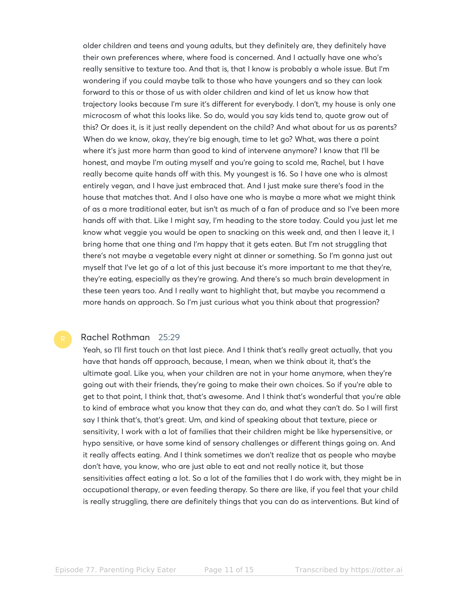older children and teens and young adults, but they definitely are, they definitely have their own preferences where, where food is concerned. And I actually have one who's really sensitive to texture too. And that is, that I know is probably a whole issue. But I'm wondering if you could maybe talk to those who have youngers and so they can look forward to this or those of us with older children and kind of let us know how that trajectory looks because I'm sure it's different for everybody. I don't, my house is only one microcosm of what this looks like. So do, would you say kids tend to, quote grow out of this? Or does it, is it just really dependent on the child? And what about for us as parents? When do we know, okay, they're big enough, time to let go? What, was there a point where it's just more harm than good to kind of intervene anymore? I know that I'll be honest, and maybe I'm outing myself and you're going to scold me, Rachel, but I have really become quite hands off with this. My youngest is 16. So I have one who is almost entirely vegan, and I have just embraced that. And I just make sure there's food in the house that matches that. And I also have one who is maybe a more what we might think of as a more traditional eater, but isn't as much of a fan of produce and so I've been more hands off with that. Like I might say, I'm heading to the store today. Could you just let me know what veggie you would be open to snacking on this week and, and then I leave it, I bring home that one thing and I'm happy that it gets eaten. But I'm not struggling that there's not maybe a vegetable every night at dinner or something. So I'm gonna just out myself that I've let go of a lot of this just because it's more important to me that they're, they're eating, especially as they're growing. And there's so much brain development in these teen years too. And I really want to highlight that, but maybe you recommend a more hands on approach. So I'm just curious what you think about that progression?

#### Rachel Rothman 25:29

Yeah, so I'll first touch on that last piece. And I think that's really great actually, that you have that hands off approach, because, I mean, when we think about it, that's the ultimate goal. Like you, when your children are not in your home anymore, when they're going out with their friends, they're going to make their own choices. So if you're able to get to that point, I think that, that's awesome. And I think that's wonderful that you're able to kind of embrace what you know that they can do, and what they can't do. So I will first say I think that's, that's great. Um, and kind of speaking about that texture, piece or sensitivity, I work with a lot of families that their children might be like hypersensitive, or hypo sensitive, or have some kind of sensory challenges or different things going on. And it really affects eating. And I think sometimes we don't realize that as people who maybe don't have, you know, who are just able to eat and not really notice it, but those sensitivities affect eating a lot. So a lot of the families that I do work with, they might be in occupational therapy, or even feeding therapy. So there are like, if you feel that your child is really struggling, there are definitely things that you can do as interventions. But kind of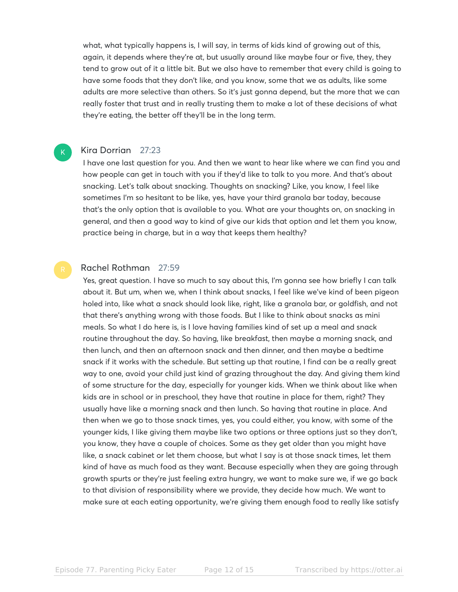what, what typically happens is, I will say, in terms of kids kind of growing out of this, again, it depends where they're at, but usually around like maybe four or five, they, they tend to grow out of it a little bit. But we also have to remember that every child is going to have some foods that they don't like, and you know, some that we as adults, like some adults are more selective than others. So it's just gonna depend, but the more that we can really foster that trust and in really trusting them to make a lot of these decisions of what they're eating, the better off they'll be in the long term.

#### Kira Dorrian 27:23

 $\mathsf{K}_{\scriptscriptstyle{+}}$ 

I have one last question for you. And then we want to hear like where we can find you and how people can get in touch with you if they'd like to talk to you more. And that's about snacking. Let's talk about snacking. Thoughts on snacking? Like, you know, I feel like sometimes I'm so hesitant to be like, yes, have your third granola bar today, because that's the only option that is available to you. What are your thoughts on, on snacking in general, and then a good way to kind of give our kids that option and let them you know, practice being in charge, but in a way that keeps them healthy?

#### Rachel Rothman 27:59

Yes, great question. I have so much to say about this, I'm gonna see how briefly I can talk about it. But um, when we, when I think about snacks, I feel like we've kind of been pigeon holed into, like what a snack should look like, right, like a granola bar, or goldfish, and not that there's anything wrong with those foods. But I like to think about snacks as mini meals. So what I do here is, is I love having families kind of set up a meal and snack routine throughout the day. So having, like breakfast, then maybe a morning snack, and then lunch, and then an afternoon snack and then dinner, and then maybe a bedtime snack if it works with the schedule. But setting up that routine, I find can be a really great way to one, avoid your child just kind of grazing throughout the day. And giving them kind of some structure for the day, especially for younger kids. When we think about like when kids are in school or in preschool, they have that routine in place for them, right? They usually have like a morning snack and then lunch. So having that routine in place. And then when we go to those snack times, yes, you could either, you know, with some of the younger kids, I like giving them maybe like two options or three options just so they don't, you know, they have a couple of choices. Some as they get older than you might have like, a snack cabinet or let them choose, but what I say is at those snack times, let them kind of have as much food as they want. Because especially when they are going through growth spurts or they're just feeling extra hungry, we want to make sure we, if we go back to that division of responsibility where we provide, they decide how much. We want to make sure at each eating opportunity, we're giving them enough food to really like satisfy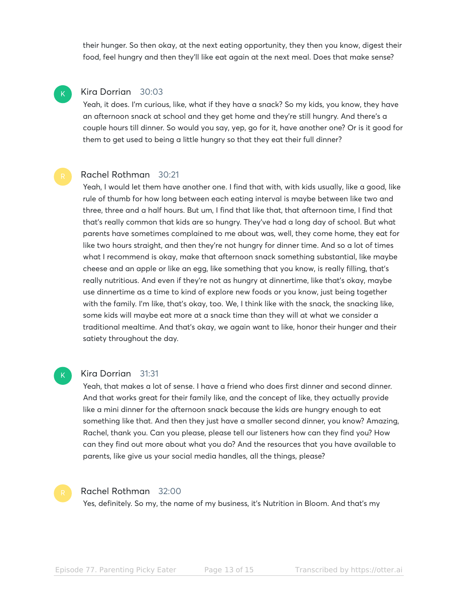their hunger. So then okay, at the next eating opportunity, they then you know, digest their food, feel hungry and then they'll like eat again at the next meal. Does that make sense?

#### Kira Dorrian 30:03

 $\mathsf{K}_{\scriptscriptstyle{+}}$ 

Yeah, it does. I'm curious, like, what if they have a snack? So my kids, you know, they have an afternoon snack at school and they get home and they're still hungry. And there's a couple hours till dinner. So would you say, yep, go for it, have another one? Or is it good for them to get used to being a little hungry so that they eat their full dinner?

#### Rachel Rothman 30:21

Yeah, I would let them have another one. I find that with, with kids usually, like a good, like rule of thumb for how long between each eating interval is maybe between like two and three, three and a half hours. But um, I find that like that, that afternoon time, I find that that's really common that kids are so hungry. They've had a long day of school. But what parents have sometimes complained to me about was, well, they come home, they eat for like two hours straight, and then they're not hungry for dinner time. And so a lot of times what I recommend is okay, make that afternoon snack something substantial, like maybe cheese and an apple or like an egg, like something that you know, is really filling, that's really nutritious. And even if they're not as hungry at dinnertime, like that's okay, maybe use dinnertime as a time to kind of explore new foods or you know, just being together with the family. I'm like, that's okay, too. We, I think like with the snack, the snacking like, some kids will maybe eat more at a snack time than they will at what we consider a traditional mealtime. And that's okay, we again want to like, honor their hunger and their satiety throughout the day.

#### Kira Dorrian 31:31

Yeah, that makes a lot of sense. I have a friend who does first dinner and second dinner. And that works great for their family like, and the concept of like, they actually provide like a mini dinner for the afternoon snack because the kids are hungry enough to eat something like that. And then they just have a smaller second dinner, you know? Amazing, Rachel, thank you. Can you please, please tell our listeners how can they find you? How can they find out more about what you do? And the resources that you have available to parents, like give us your social media handles, all the things, please?



 $\mathsf{K}_{\scriptscriptstyle{+}}$ 

#### Rachel Rothman 32:00

Yes, definitely. So my, the name of my business, it's Nutrition in Bloom. And that's my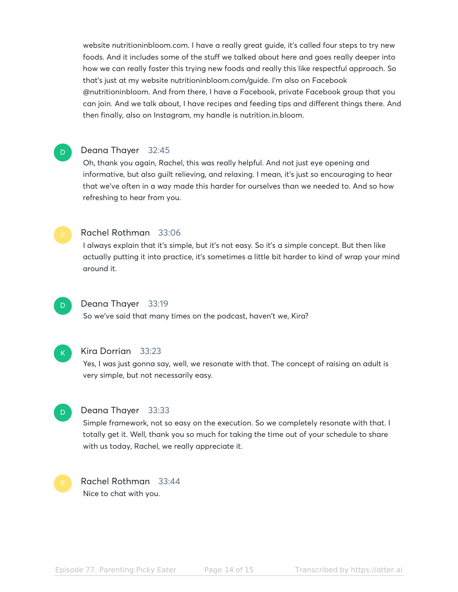website nutritioninbloom.com. I have a really great guide, it's called four steps to try new foods. And it includes some of the stuff we talked about here and goes really deeper into how we can really foster this trying new foods and really this like respectful approach. So that's just at my website nutritioninbloom.com/guide. I'm also on Facebook @nutritioninbloom. And from there, I have a Facebook, private Facebook group that you can join. And we talk about, I have recipes and feeding tips and different things there. And then finally, also on Instagram, my handle is nutrition.in.bloom.

#### Deana Thayer 32:45

Oh, thank you again, Rachel, this was really helpful. And not just eye opening and informative, but also guilt relieving, and relaxing. I mean, it's just so encouraging to hear that we've often in a way made this harder for ourselves than we needed to. And so how refreshing to hear from you.



D

#### Rachel Rothman 33:06

I always explain that it's simple, but it's not easy. So it's a simple concept. But then like actually putting it into practice, it's sometimes a little bit harder to kind of wrap your mind around it.



#### Deana Thayer 33:19

So we've said that many times on the podcast, haven't we, Kira?



#### Kira Dorrian 33:23

Yes, I was just gonna say, well, we resonate with that. The concept of raising an adult is very simple, but not necessarily easy.



#### Deana Thayer 33:33

Simple framework, not so easy on the execution. So we completely resonate with that. I totally get it. Well, thank you so much for taking the time out of your schedule to share with us today, Rachel, we really appreciate it.